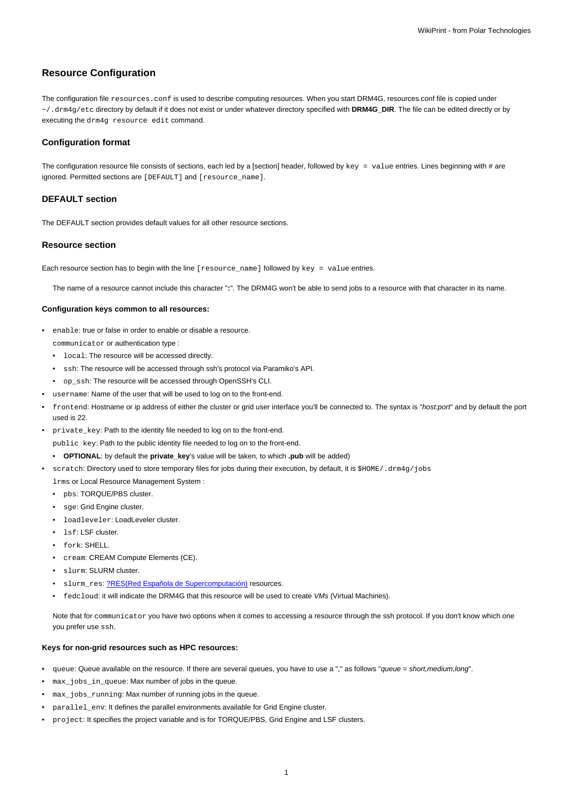# **Resource Configuration**

The configuration file resources.conf is used to describe computing resources. When you start DRM4G, resources.conf file is copied under ~/.drm4g/etc directory by default if it does not exist or under whatever directory specified with **DRM4G\_DIR**. The file can be edited directly or by executing the drm4g resource edit command.

### **Configuration format**

The configuration resource file consists of sections, each led by a [section] header, followed by  $key = value$  entries. Lines beginning with # are ignored. Permitted sections are [DEFAULT] and [resource\_name].

## **DEFAULT section**

The DEFAULT section provides default values for all other resource sections.

#### **Resource section**

Each resource section has to begin with the line [resource\_name] followed by key = value entries.

The name of a resource cannot include this character "**:**". The DRM4G won't be able to send jobs to a resource with that character in its name.

### **Configuration keys common to all resources:**

- enable: true or false in order to enable or disable a resource. communicator or authentication type :
	- local: The resource will be accessed directly.
	- ssh: The resource will be accessed through ssh's protocol via Paramiko's API.
	- op\_ssh: The resource will be accessed through OpenSSH's CLI.
- username: Name of the user that will be used to log on to the front-end.
- frontend: Hostname or ip address of either the cluster or grid user interface you'll be connected to. The syntax is "host:port" and by default the port used is 22.
- private\_key: Path to the identity file needed to log on to the front-end.

public key: Path to the public identity file needed to log on to the front-end.

- **OPTIONAL**: by default the **private\_key**'s value will be taken, to which **.pub** will be added)
- scratch: Directory used to store temporary files for jobs during their execution, by default, it is \$HOME/.drm4g/jobs

lrms or Local Resource Management System :

- pbs: TORQUE/PBS cluster.
- sge: Grid Engine cluster.
- loadleveler: LoadLeveler cluster.
- lsf: LSF cluster.
- fork: SHELL.
- cream: CREAM Compute Elements (CE).
- slurm: SLURM cluster.
- slurm\_res: [?RES\(Red Española de Supercomputación\)](http://www.bsc.es/marenostrum-support-services/res) resources.
- fedcloud: it will indicate the DRM4G that this resource will be used to create VMs (Virtual Machines).

Note that for communicator you have two options when it comes to accessing a resource through the ssh protocol. If you don't know which one you prefer use ssh.

### **Keys for non-grid resources such as HPC resources:**

- queue: Queue available on the resource. If there are several queues, you have to use a "," as follows "queue = short, medium, long".
- max\_jobs\_in\_queue: Max number of jobs in the queue.
- max\_jobs\_running: Max number of running jobs in the queue.
- parallel\_env: It defines the parallel environments available for Grid Engine cluster.
- project: It specifies the project variable and is for TORQUE/PBS, Grid Engine and LSF clusters.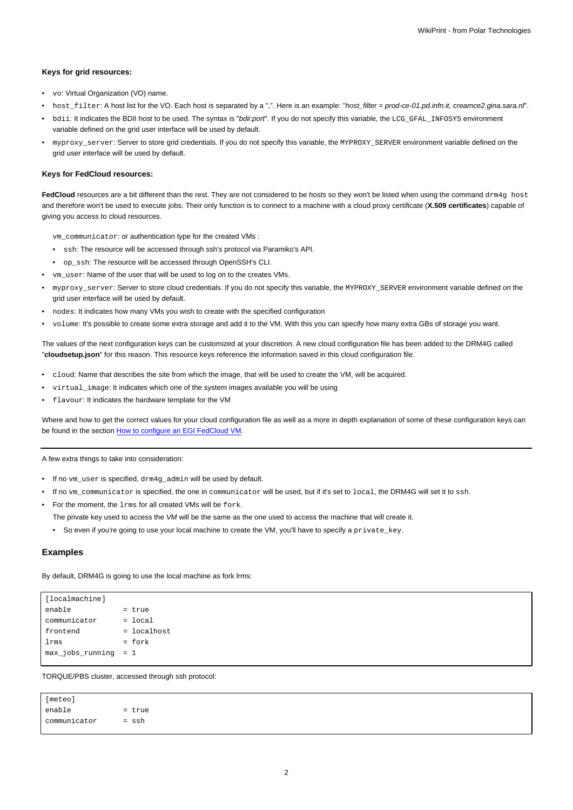#### **Keys for grid resources:**

- vo: Virtual Organization (VO) name.
- host filter: A host list for the VO. Each host is separated by a ",". Here is an example: "host filter = prod-ce-01.pd.infn.it, creamce2.gina.sara.nl".
- bdii: It indicates the BDII host to be used. The syntax is "bdii:port". If you do not specify this variable, the LCG\_GFAL\_INFOSYS environment variable defined on the grid user interface will be used by default.
- myproxy\_server: Server to store grid credentials. If you do not specify this variable, the MYPROXY\_SERVER environment variable defined on the grid user interface will be used by default.

#### **Keys for FedCloud resources:**

FedCloud resources are a bit different than the rest. They are not considered to be *hosts* so they won't be listed when using the command drm4g host and therefore won't be used to execute jobs. Their only function is to connect to a machine with a cloud proxy certificate (**X.509 certificates**) capable of giving you access to cloud resources.

vm\_communicator: or authentication type for the created VMs :

- ssh: The resource will be accessed through ssh's protocol via Paramiko's API.
- op\_ssh: The resource will be accessed through OpenSSH's CLI.
- vm\_user: Name of the user that will be used to log on to the creates VMs.
- myproxy\_server: Server to store cloud credentials. If you do not specify this variable, the MYPROXY\_SERVER environment variable defined on the grid user interface will be used by default.
- nodes: It indicates how many VMs you wish to create with the specified configuration
- volume: It's possible to create some extra storage and add it to the VM. With this you can specify how many extra GBs of storage you want.

The values of the next configuration keys can be customized at your discretion. A new cloud configuration file has been added to the DRM4G called "**cloudsetup.json**" for this reason. This resource keys reference the information saved in this cloud configuration file.

- cloud: Name that describes the site from which the image, that will be used to create the VM, will be acquired.
- virtual\_image: It indicates which one of the system images available you will be using
- flavour: It indicates the hardware template for the VM

Where and how to get the correct values for your cloud configuration file as well as a more in depth explanation of some of these configuration keys can be found in the section [How to configure an EGI FedCloud VM.](https://meteo.unican.es/trac/wiki/DRM4G/ResourceConfiguration/EGIFedCloud)

A few extra things to take into consideration:

- If no vm\_user is specified, drm4g\_admin will be used by default.
- If no ym communicator is specified, the one in communicator will be used, but if it's set to local, the DRM4G will set it to ssh.
- For the moment, the lrms for all created VMs will be fork.
	- The private key used to access the VM will be the same as the one used to access the machine that will create it.
	- So even if you're going to use your local machine to create the VM, you'll have to specify a private\_key.

## **Examples**

By default, DRM4G is going to use the local machine as fork lrms:

| [localmachine]         |               |
|------------------------|---------------|
| enable                 | = true        |
| communicator           | $=$ local     |
| frontend               | $=$ localhost |
| lrms                   | $=$ fork      |
| $max_jobs_running = 1$ |               |
|                        |               |

TORQUE/PBS cluster, accessed through ssh protocol:

[meteo]  $enable$  = true communicator = ssh